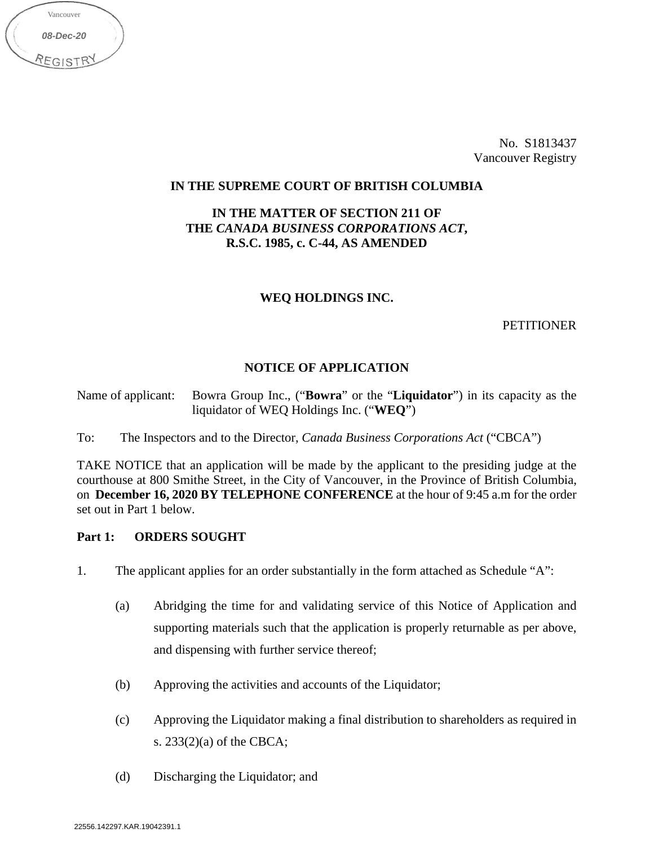No. S1813437 Vancouver Registry

## **IN THE SUPREME COURT OF BRITISH COLUMBIA**

## **IN THE MATTER OF SECTION 211 OF THE** *CANADA BUSINESS CORPORATIONS ACT***, R.S.C. 1985, c. C-44, AS AMENDED**

## **WEQ HOLDINGS INC.**

## **PETITIONER**

# **NOTICE OF APPLICATION**

Name of applicant: Bowra Group Inc., ("**Bowra**" or the "**Liquidator**") in its capacity as the liquidator of WEQ Holdings Inc. ("**WEQ**")

To: The Inspectors and to the Director, *Canada Business Corporations Act* ("CBCA")

TAKE NOTICE that an application will be made by the applicant to the presiding judge at the courthouse at 800 Smithe Street, in the City of Vancouver, in the Province of British Columbia, on **December 16, 2020 BY TELEPHONE CONFERENCE** at the hour of 9:45 a.m for the order set out in Part 1 below.

# **Part 1: ORDERS SOUGHT**

*08-Dec-20*

**REGISTR** 

Vancouver

- 1. The applicant applies for an order substantially in the form attached as Schedule "A":
	- (a) Abridging the time for and validating service of this Notice of Application and supporting materials such that the application is properly returnable as per above, and dispensing with further service thereof;
	- (b) Approving the activities and accounts of the Liquidator;
	- (c) Approving the Liquidator making a final distribution to shareholders as required in s. 233(2)(a) of the CBCA;
	- (d) Discharging the Liquidator; and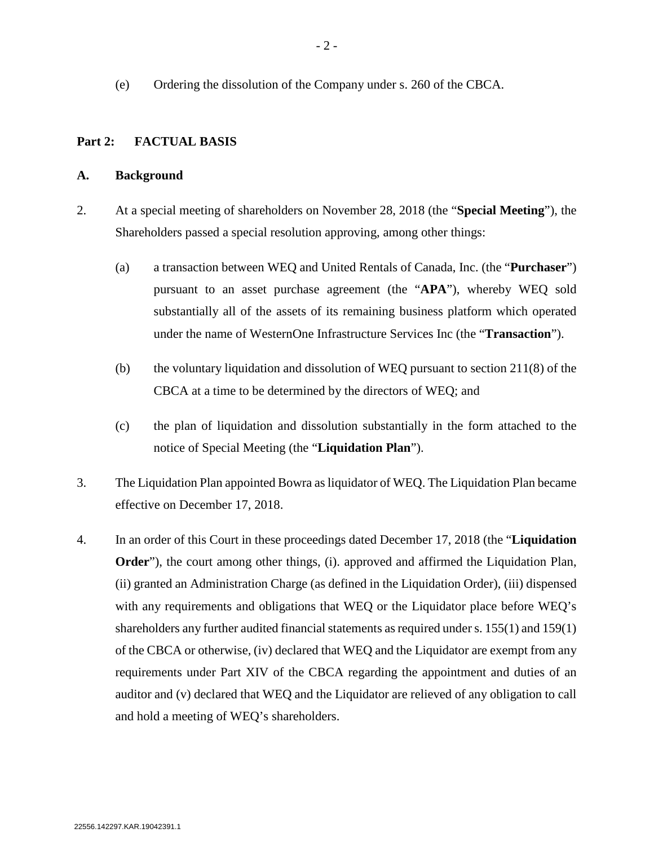(e) Ordering the dissolution of the Company under s. 260 of the CBCA.

## **Part 2: FACTUAL BASIS**

### **A. Background**

- 2. At a special meeting of shareholders on November 28, 2018 (the "**Special Meeting**"), the Shareholders passed a special resolution approving, among other things:
	- (a) a transaction between WEQ and United Rentals of Canada, Inc. (the "**Purchaser**") pursuant to an asset purchase agreement (the "**APA**"), whereby WEQ sold substantially all of the assets of its remaining business platform which operated under the name of WesternOne Infrastructure Services Inc (the "**Transaction**").
	- (b) the voluntary liquidation and dissolution of WEQ pursuant to section  $211(8)$  of the CBCA at a time to be determined by the directors of WEQ; and
	- (c) the plan of liquidation and dissolution substantially in the form attached to the notice of Special Meeting (the "**Liquidation Plan**").
- 3. The Liquidation Plan appointed Bowra as liquidator of WEQ. The Liquidation Plan became effective on December 17, 2018.
- 4. In an order of this Court in these proceedings dated December 17, 2018 (the "**Liquidation Order**"), the court among other things, (i). approved and affirmed the Liquidation Plan, (ii) granted an Administration Charge (as defined in the Liquidation Order), (iii) dispensed with any requirements and obligations that WEQ or the Liquidator place before WEQ's shareholders any further audited financial statements as required under s. 155(1) and 159(1) of the CBCA or otherwise, (iv) declared that WEQ and the Liquidator are exempt from any requirements under Part XIV of the CBCA regarding the appointment and duties of an auditor and (v) declared that WEQ and the Liquidator are relieved of any obligation to call and hold a meeting of WEQ's shareholders.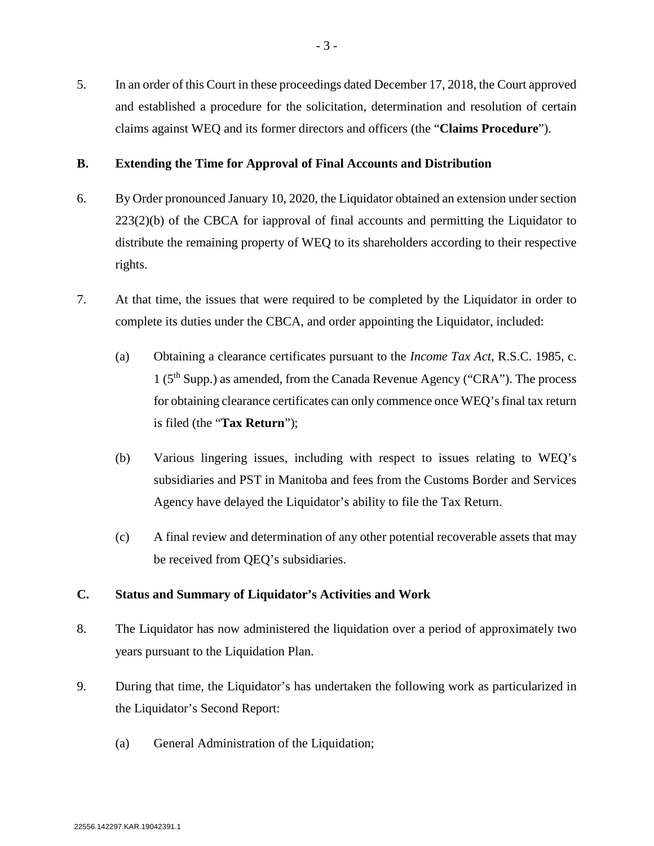5. In an order of this Court in these proceedings dated December 17, 2018, the Court approved and established a procedure for the solicitation, determination and resolution of certain claims against WEQ and its former directors and officers (the "**Claims Procedure**").

## **B. Extending the Time for Approval of Final Accounts and Distribution**

- 6. By Order pronounced January 10, 2020, the Liquidator obtained an extension under section 223(2)(b) of the CBCA for iapproval of final accounts and permitting the Liquidator to distribute the remaining property of WEQ to its shareholders according to their respective rights.
- 7. At that time, the issues that were required to be completed by the Liquidator in order to complete its duties under the CBCA, and order appointing the Liquidator, included:
	- (a) Obtaining a clearance certificates pursuant to the *Income Tax Act*, R.S.C. 1985, c. 1 ( $5<sup>th</sup>$  Supp.) as amended, from the Canada Revenue Agency ("CRA"). The process for obtaining clearance certificates can only commence once WEQ's final tax return is filed (the "**Tax Return**");
	- (b) Various lingering issues, including with respect to issues relating to WEQ's subsidiaries and PST in Manitoba and fees from the Customs Border and Services Agency have delayed the Liquidator's ability to file the Tax Return.
	- (c) A final review and determination of any other potential recoverable assets that may be received from QEQ's subsidiaries.

# **C. Status and Summary of Liquidator's Activities and Work**

- 8. The Liquidator has now administered the liquidation over a period of approximately two years pursuant to the Liquidation Plan.
- 9. During that time, the Liquidator's has undertaken the following work as particularized in the Liquidator's Second Report:
	- (a) General Administration of the Liquidation;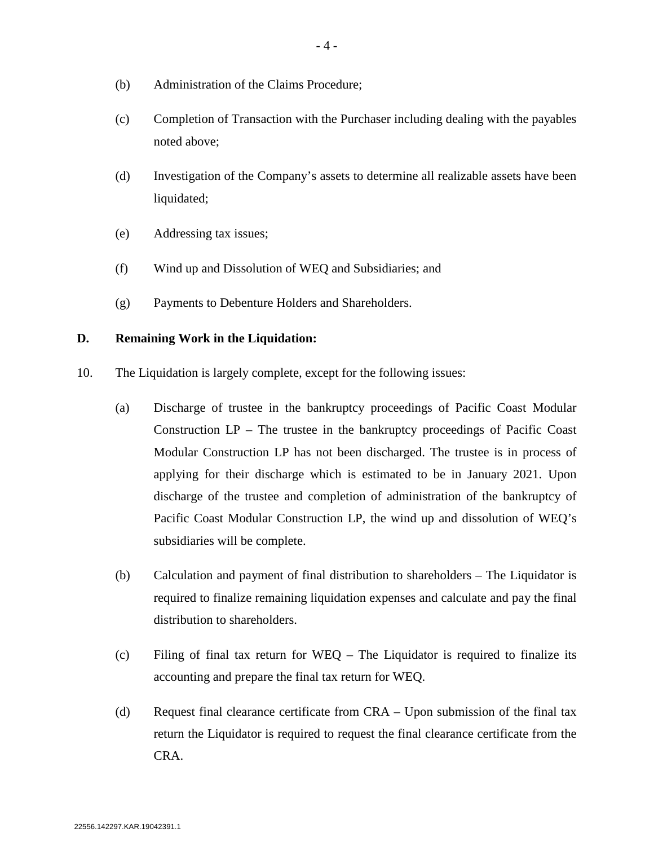- (b) Administration of the Claims Procedure;
- (c) Completion of Transaction with the Purchaser including dealing with the payables noted above;
- (d) Investigation of the Company's assets to determine all realizable assets have been liquidated;
- (e) Addressing tax issues;
- (f) Wind up and Dissolution of WEQ and Subsidiaries; and
- (g) Payments to Debenture Holders and Shareholders.

### **D. Remaining Work in the Liquidation:**

- 10. The Liquidation is largely complete, except for the following issues:
	- (a) Discharge of trustee in the bankruptcy proceedings of Pacific Coast Modular Construction  $LP$  – The trustee in the bankruptcy proceedings of Pacific Coast Modular Construction LP has not been discharged. The trustee is in process of applying for their discharge which is estimated to be in January 2021. Upon discharge of the trustee and completion of administration of the bankruptcy of Pacific Coast Modular Construction LP, the wind up and dissolution of WEQ's subsidiaries will be complete.
	- (b) Calculation and payment of final distribution to shareholders The Liquidator is required to finalize remaining liquidation expenses and calculate and pay the final distribution to shareholders.
	- (c) Filing of final tax return for WEQ The Liquidator is required to finalize its accounting and prepare the final tax return for WEQ.
	- (d) Request final clearance certificate from CRA Upon submission of the final tax return the Liquidator is required to request the final clearance certificate from the CRA.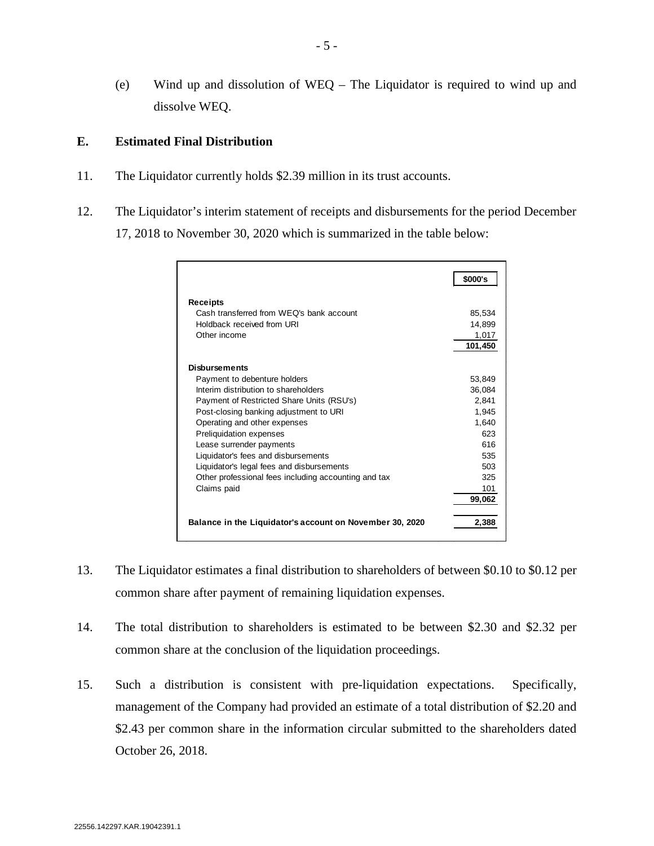(e) Wind up and dissolution of WEQ – The Liquidator is required to wind up and dissolve WEQ.

# **E. Estimated Final Distribution**

- 11. The Liquidator currently holds \$2.39 million in its trust accounts.
- 12. The Liquidator's interim statement of receipts and disbursements for the period December 17, 2018 to November 30, 2020 which is summarized in the table below:

|                                                          | \$000's |
|----------------------------------------------------------|---------|
| Receipts                                                 |         |
| Cash transferred from WEO's bank account                 | 85,534  |
| Holdback received from URI                               | 14,899  |
| Other income                                             | 1,017   |
|                                                          | 101,450 |
| <b>Disbursements</b>                                     |         |
| Payment to debenture holders                             | 53,849  |
| Interim distribution to shareholders                     | 36,084  |
| Payment of Restricted Share Units (RSU's)                | 2,841   |
| Post-closing banking adjustment to URI                   | 1,945   |
| Operating and other expenses                             | 1,640   |
| Preliquidation expenses                                  | 623     |
| Lease surrender payments                                 | 616     |
| Liquidator's fees and disbursements                      | 535     |
| Liquidator's legal fees and disbursements                | 503     |
| Other professional fees including accounting and tax     | 325     |
| Claims paid                                              | 101     |
|                                                          | 99,062  |
| Balance in the Liquidator's account on November 30, 2020 | 2,388   |

- 13. The Liquidator estimates a final distribution to shareholders of between \$0.10 to \$0.12 per common share after payment of remaining liquidation expenses.
- 14. The total distribution to shareholders is estimated to be between \$2.30 and \$2.32 per common share at the conclusion of the liquidation proceedings.
- 15. Such a distribution is consistent with pre-liquidation expectations. Specifically, management of the Company had provided an estimate of a total distribution of \$2.20 and \$2.43 per common share in the information circular submitted to the shareholders dated October 26, 2018.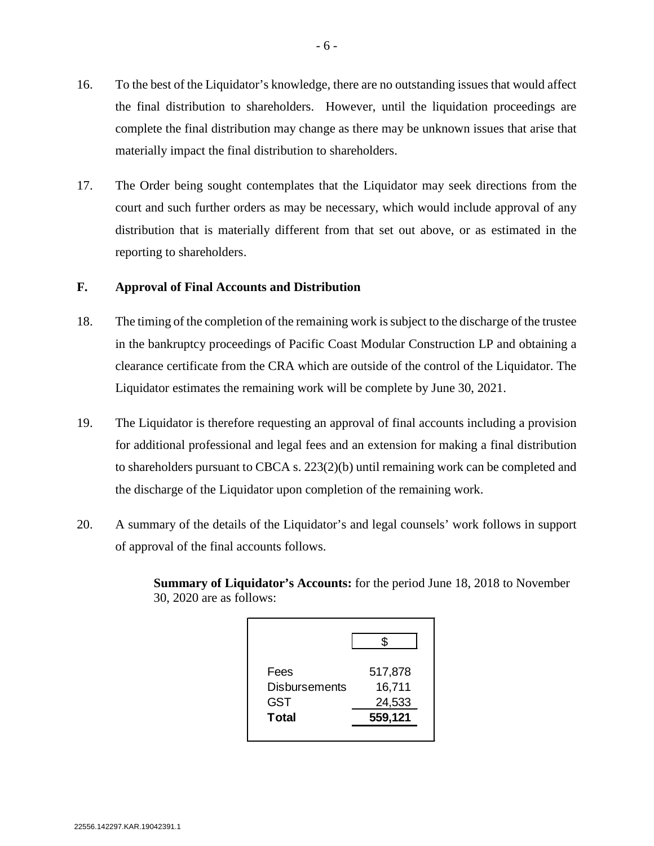- 16. To the best of the Liquidator's knowledge, there are no outstanding issues that would affect the final distribution to shareholders. However, until the liquidation proceedings are complete the final distribution may change as there may be unknown issues that arise that materially impact the final distribution to shareholders.
- 17. The Order being sought contemplates that the Liquidator may seek directions from the court and such further orders as may be necessary, which would include approval of any distribution that is materially different from that set out above, or as estimated in the reporting to shareholders.

## **F. Approval of Final Accounts and Distribution**

- 18. The timing of the completion of the remaining work is subject to the discharge of the trustee in the bankruptcy proceedings of Pacific Coast Modular Construction LP and obtaining a clearance certificate from the CRA which are outside of the control of the Liquidator. The Liquidator estimates the remaining work will be complete by June 30, 2021.
- 19. The Liquidator is therefore requesting an approval of final accounts including a provision for additional professional and legal fees and an extension for making a final distribution to shareholders pursuant to CBCA s. 223(2)(b) until remaining work can be completed and the discharge of the Liquidator upon completion of the remaining work.
- 20. A summary of the details of the Liquidator's and legal counsels' work follows in support of approval of the final accounts follows.

**Summary of Liquidator's Accounts:** for the period June 18, 2018 to November 30, 2020 are as follows:

| Fees                 | 517,878 |
|----------------------|---------|
| <b>Disbursements</b> | 16,711  |
| GST                  | 24,533  |
| <b>Total</b>         | 559,121 |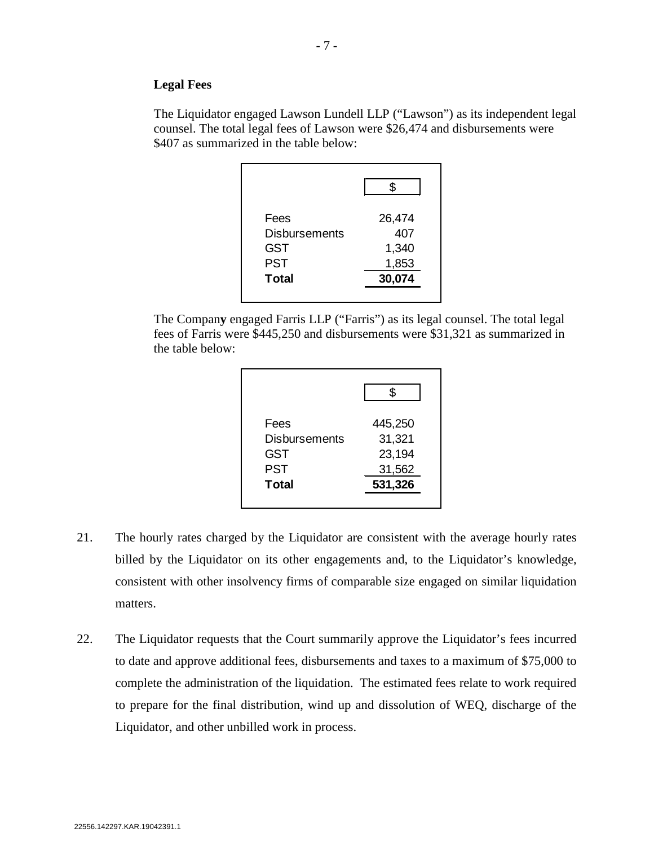### **Legal Fees**

The Liquidator engaged Lawson Lundell LLP ("Lawson") as its independent legal counsel. The total legal fees of Lawson were \$26,474 and disbursements were \$407 as summarized in the table below:

| 26,474 |
|--------|
| 407    |
| 1,340  |
| 1,853  |
| 30,074 |
|        |

The Compan**y** engaged Farris LLP ("Farris") as its legal counsel. The total legal fees of Farris were \$445,250 and disbursements were \$31,321 as summarized in the table below:

| Fees                 | 445,250 |
|----------------------|---------|
| <b>Disbursements</b> | 31,321  |
| GST                  | 23,194  |
| PST                  | 31,562  |
| <b>Total</b>         | 531,326 |

- 21. The hourly rates charged by the Liquidator are consistent with the average hourly rates billed by the Liquidator on its other engagements and, to the Liquidator's knowledge, consistent with other insolvency firms of comparable size engaged on similar liquidation matters.
- 22. The Liquidator requests that the Court summarily approve the Liquidator's fees incurred to date and approve additional fees, disbursements and taxes to a maximum of \$75,000 to complete the administration of the liquidation. The estimated fees relate to work required to prepare for the final distribution, wind up and dissolution of WEQ, discharge of the Liquidator, and other unbilled work in process.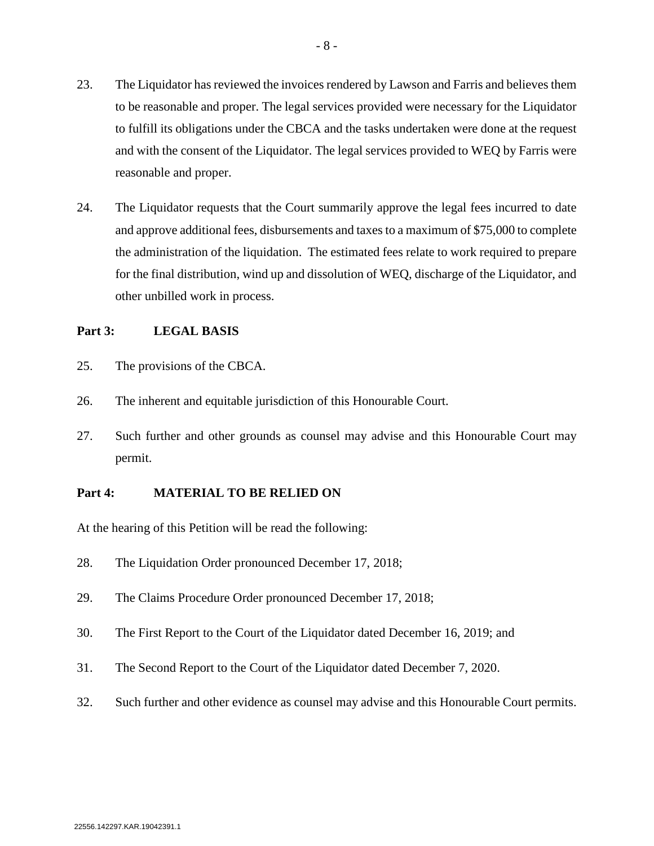- 23. The Liquidator has reviewed the invoices rendered by Lawson and Farris and believes them to be reasonable and proper. The legal services provided were necessary for the Liquidator to fulfill its obligations under the CBCA and the tasks undertaken were done at the request and with the consent of the Liquidator. The legal services provided to WEQ by Farris were reasonable and proper.
- 24. The Liquidator requests that the Court summarily approve the legal fees incurred to date and approve additional fees, disbursements and taxes to a maximum of \$75,000 to complete the administration of the liquidation. The estimated fees relate to work required to prepare for the final distribution, wind up and dissolution of WEQ, discharge of the Liquidator, and other unbilled work in process.

## **Part 3: LEGAL BASIS**

- 25. The provisions of the CBCA.
- 26. The inherent and equitable jurisdiction of this Honourable Court.
- 27. Such further and other grounds as counsel may advise and this Honourable Court may permit.

## **Part 4: MATERIAL TO BE RELIED ON**

At the hearing of this Petition will be read the following:

- 28. The Liquidation Order pronounced December 17, 2018;
- 29. The Claims Procedure Order pronounced December 17, 2018;
- 30. The First Report to the Court of the Liquidator dated December 16, 2019; and
- 31. The Second Report to the Court of the Liquidator dated December 7, 2020.
- 32. Such further and other evidence as counsel may advise and this Honourable Court permits.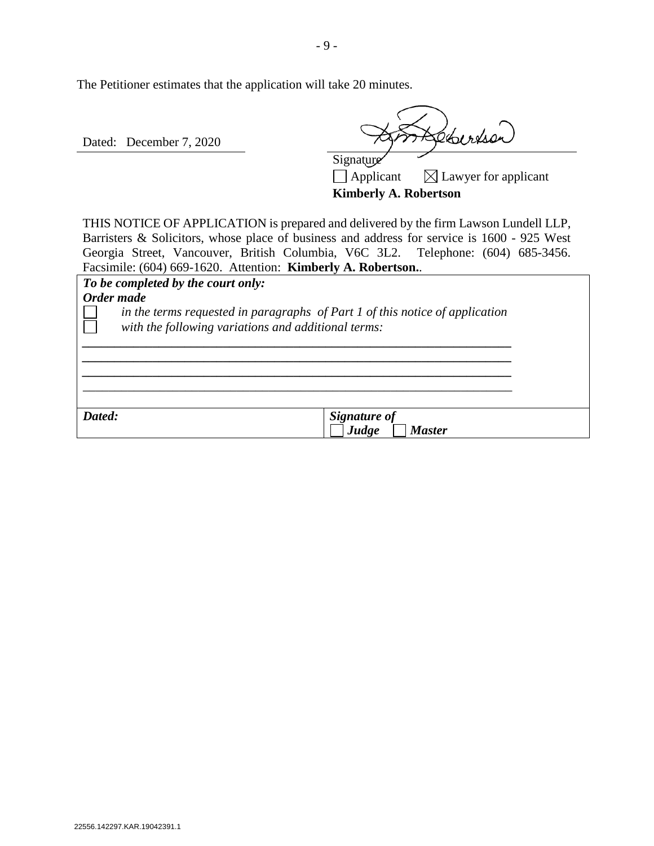The Petitioner estimates that the application will take 20 minutes.

Dated: December 7, 2020

Lebertson

Signature  $\Box$  Applicant  $\Box$  Lawyer for applicant **Kimberly A. Robertson**

THIS NOTICE OF APPLICATION is prepared and delivered by the firm Lawson Lundell LLP, Barristers & Solicitors, whose place of business and address for service is 1600 - 925 West Georgia Street, Vancouver, British Columbia, V6C 3L2. Telephone: (604) 685-3456. Facsimile: (604) 669-1620. Attention: **Kimberly A. Robertson.**.

| To be completed by the court only:                  |                                                                                |
|-----------------------------------------------------|--------------------------------------------------------------------------------|
| Order made                                          |                                                                                |
| with the following variations and additional terms: | in the terms requested in paragraphs of Part $1$ of this notice of application |
|                                                     |                                                                                |
|                                                     |                                                                                |
|                                                     |                                                                                |
| Dated:                                              | <b>Signature of</b><br>Judge<br><i>Master</i>                                  |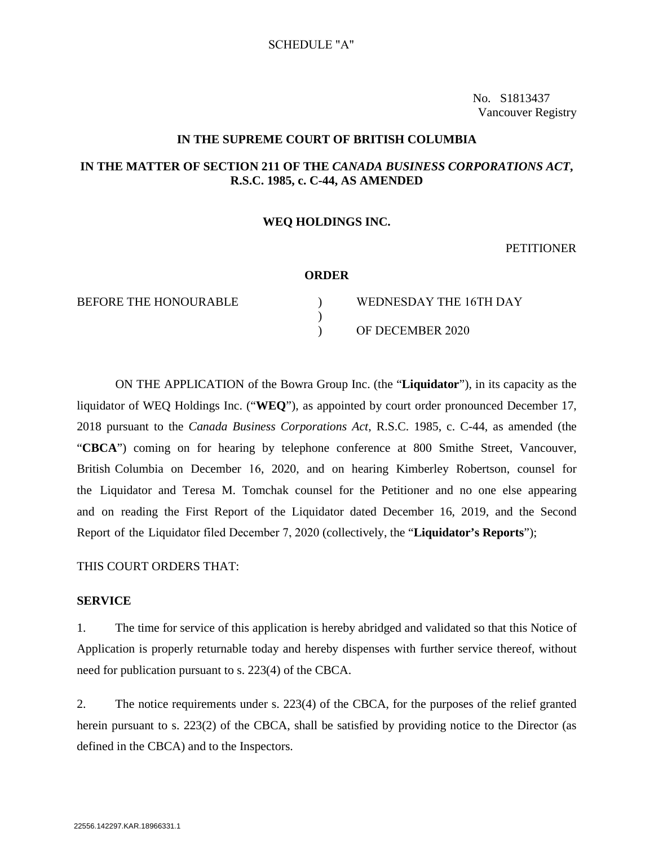No. S1813437 Vancouver Registry

### **IN THE SUPREME COURT OF BRITISH COLUMBIA**

## **IN THE MATTER OF SECTION 211 OF THE** *CANADA BUSINESS CORPORATIONS ACT***, R.S.C. 1985, c. C-44, AS AMENDED**

#### **WEQ HOLDINGS INC.**

#### **PETITIONER**

#### **ORDER**

BEFORE THE HONOURABLE )

| WEDNESDAY THE 16TH DAY |
|------------------------|
|                        |
| OF DECEMBER 2020       |

ON THE APPLICATION of the Bowra Group Inc. (the "**Liquidator**"), in its capacity as the liquidator of WEQ Holdings Inc. ("**WEQ**"), as appointed by court order pronounced December 17, 2018 pursuant to the *Canada Business Corporations Act*, R.S.C. 1985, c. C-44, as amended (the "**CBCA**") coming on for hearing by telephone conference at 800 Smithe Street, Vancouver, British Columbia on December 16, 2020, and on hearing Kimberley Robertson, counsel for the Liquidator and Teresa M. Tomchak counsel for the Petitioner and no one else appearing and on reading the First Report of the Liquidator dated December 16, 2019, and the Second Report of the Liquidator filed December 7, 2020 (collectively, the "**Liquidator's Reports**");

### THIS COURT ORDERS THAT:

#### **SERVICE**

1. The time for service of this application is hereby abridged and validated so that this Notice of Application is properly returnable today and hereby dispenses with further service thereof, without need for publication pursuant to s. 223(4) of the CBCA.

2. The notice requirements under s. 223(4) of the CBCA, for the purposes of the relief granted herein pursuant to s. 223(2) of the CBCA, shall be satisfied by providing notice to the Director (as defined in the CBCA) and to the Inspectors.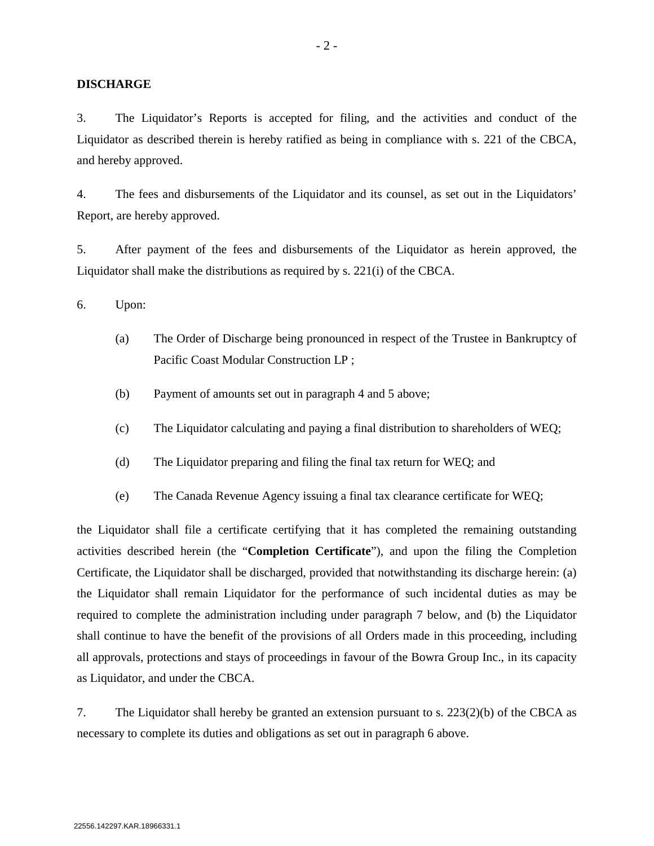#### **DISCHARGE**

3. The Liquidator's Reports is accepted for filing, and the activities and conduct of the Liquidator as described therein is hereby ratified as being in compliance with s. 221 of the CBCA, and hereby approved.

4. The fees and disbursements of the Liquidator and its counsel, as set out in the Liquidators' Report, are hereby approved.

5. After payment of the fees and disbursements of the Liquidator as herein approved, the Liquidator shall make the distributions as required by s. 221(i) of the CBCA.

<span id="page-10-0"></span>6. Upon:

- (a) The Order of Discharge being pronounced in respect of the Trustee in Bankruptcy of Pacific Coast Modular Construction LP ;
- (b) Payment of amounts set out in paragraph 4 and 5 above;
- (c) The Liquidator calculating and paying a final distribution to shareholders of WEQ;
- (d) The Liquidator preparing and filing the final tax return for WEQ; and
- (e) The Canada Revenue Agency issuing a final tax clearance certificate for WEQ;

the Liquidator shall file a certificate certifying that it has completed the remaining outstanding activities described herein (the "**Completion Certificate**"), and upon the filing the Completion Certificate, the Liquidator shall be discharged, provided that notwithstanding its discharge herein: (a) the Liquidator shall remain Liquidator for the performance of such incidental duties as may be required to complete the administration including under paragraph 7 below, and (b) the Liquidator shall continue to have the benefit of the provisions of all Orders made in this proceeding, including all approvals, protections and stays of proceedings in favour of the Bowra Group Inc., in its capacity as Liquidator, and under the CBCA.

7. The Liquidator shall hereby be granted an extension pursuant to s. 223(2)(b) of the CBCA as necessary to complete its duties and obligations as set out in paragraph [6](#page-10-0) above.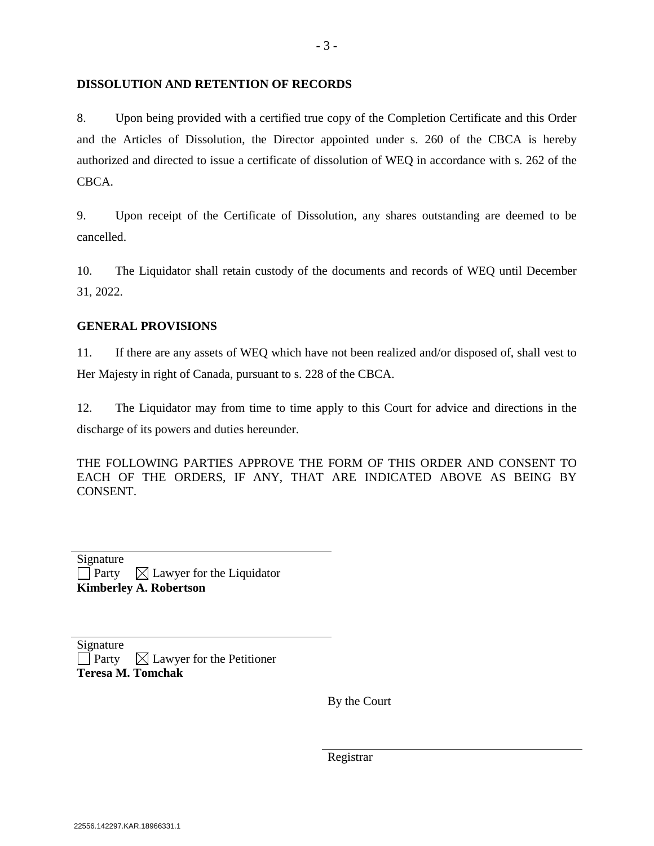## **DISSOLUTION AND RETENTION OF RECORDS**

8. Upon being provided with a certified true copy of the Completion Certificate and this Order and the Articles of Dissolution, the Director appointed under s. 260 of the CBCA is hereby authorized and directed to issue a certificate of dissolution of WEQ in accordance with s. 262 of the CBCA.

9. Upon receipt of the Certificate of Dissolution, any shares outstanding are deemed to be cancelled.

10. The Liquidator shall retain custody of the documents and records of WEQ until December 31, 2022.

## **GENERAL PROVISIONS**

11. If there are any assets of WEQ which have not been realized and/or disposed of, shall vest to Her Majesty in right of Canada, pursuant to s. 228 of the CBCA.

12. The Liquidator may from time to time apply to this Court for advice and directions in the discharge of its powers and duties hereunder.

THE FOLLOWING PARTIES APPROVE THE FORM OF THIS ORDER AND CONSENT TO EACH OF THE ORDERS, IF ANY, THAT ARE INDICATED ABOVE AS BEING BY CONSENT.

| <b>Kimberley A. Robertson</b> |                                               |  |  |  |
|-------------------------------|-----------------------------------------------|--|--|--|
|                               | $\Box$ Party $\Box$ Lawyer for the Liquidator |  |  |  |
| Signature                     |                                               |  |  |  |

Signature

 $\Box$  Party  $\Box$  Lawyer for the Petitioner **Teresa M. Tomchak**

By the Court

Registrar